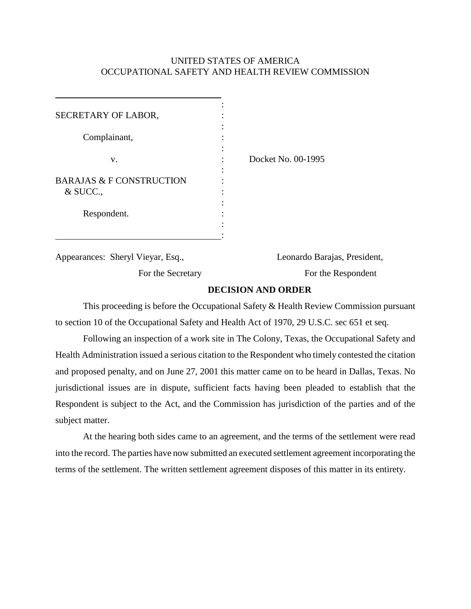## UNITED STATES OF AMERICA OCCUPATIONAL SAFETY AND HEALTH REVIEW COMMISSION

| SECRETARY OF LABOR,<br>Complainant,                     | ٠ |                    |  |
|---------------------------------------------------------|---|--------------------|--|
| V.<br><b>BARAJAS &amp; F CONSTRUCTION</b><br>$&$ SUCC., |   | Docket No. 00-1995 |  |
| Respondent.                                             |   |                    |  |

Appearances: Sheryl Vieyar, Esq.,

For the Secretary

Leonardo Barajas, President,

For the Respondent

## **DECISION AND ORDER**

This proceeding is before the Occupational Safety & Health Review Commission pursuant to section 10 of the Occupational Safety and Health Act of 1970, 29 U.S.C. sec 651 et seq.

Following an inspection of a work site in The Colony, Texas, the Occupational Safety and Health Administration issued a serious citation to the Respondent who timely contested the citation and proposed penalty, and on June 27, 2001 this matter came on to be heard in Dallas, Texas. No jurisdictional issues are in dispute, sufficient facts having been pleaded to establish that the Respondent is subject to the Act, and the Commission has jurisdiction of the parties and of the subject matter.

At the hearing both sides came to an agreement, and the terms of the settlement were read into the record. The parties have now submitted an executed settlement agreement incorporating the terms of the settlement. The written settlement agreement disposes of this matter in its entirety.